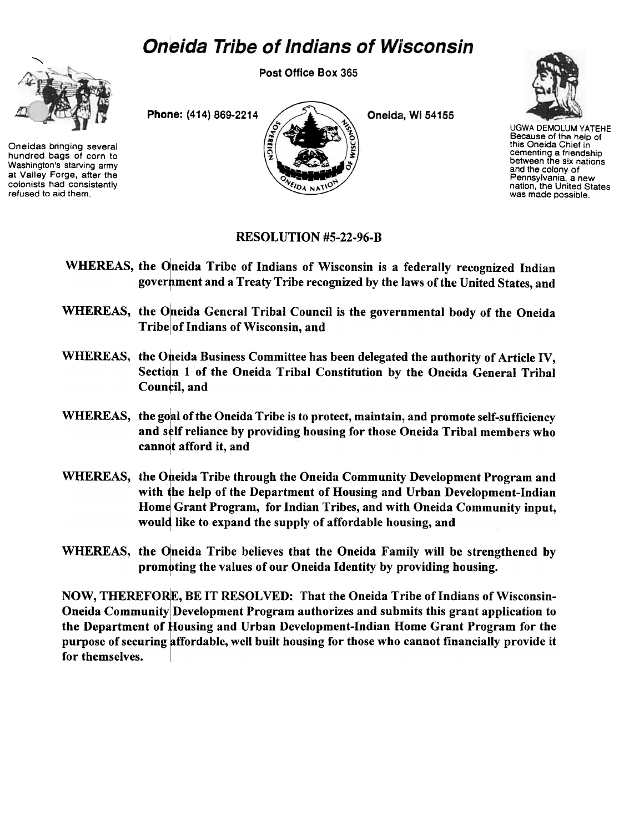## **Oneida Tribe of Indians of Wisconsin**



Oneidas bringing several hundred bags of corn to Washington's starving army at Valley Forge, after the colonists had consistently refused to aid them.

Post Office Box 365



Oneida, Wi 54155



UGWA DEMOLUM YATEHE Because of the help of this Oneida Chief in cementing a friendship between the six nations and the colony of Pennsylvania, a new nation, the United States was made possible.

## RESOLUTION #5-22-96-B

- WHEREAS, the Oneida Tribe of Indians of Wisconsin is a federally recognized Indian government and a Treaty Tribe recognized by the laws of the United States, and
- WHEREAS, the Oneida General Tribal Council is the governmental body of the Oneida Tribe of Indians of Wisconsin, and
- WHEREAS, the Oneida Business Committee has been delegated the authority of Article IV, Section 1 of the Oneida Tribal Constitution by the Oneida General Tribal Council, and
- WHEREAS, the goal of the Oneida Tribe is to protect, maintain, and promote self-sufficiency and self reliance by providing housing for those Oneida Tribal members who cannot afford it, and
- WHEREAS, the Oneida Tribe through the Oneida Community Development Program and with he help of the Department of Housing and Urban Development-Indian Home Grant Program, for Indian Tribes, and with Oneida Community input, would like to expand the supply of affordable housing, and
- WHEREAS, the Oneida Tribe believes that the Oneida Family will be strengthened by promoting the values of our Oneida Identity by providing housing.

NOW, THEREFORE, BE IT RESOLVED: That the Oneida Tribe of Indians of Wisconsin-Oneida Community Development Program authorizes and submits this grant application to the Department of Housing and Urban Development-Indian Home Grant Program for the purpose of securing affordable, well built housing for those who cannot financially provide it for themselves.